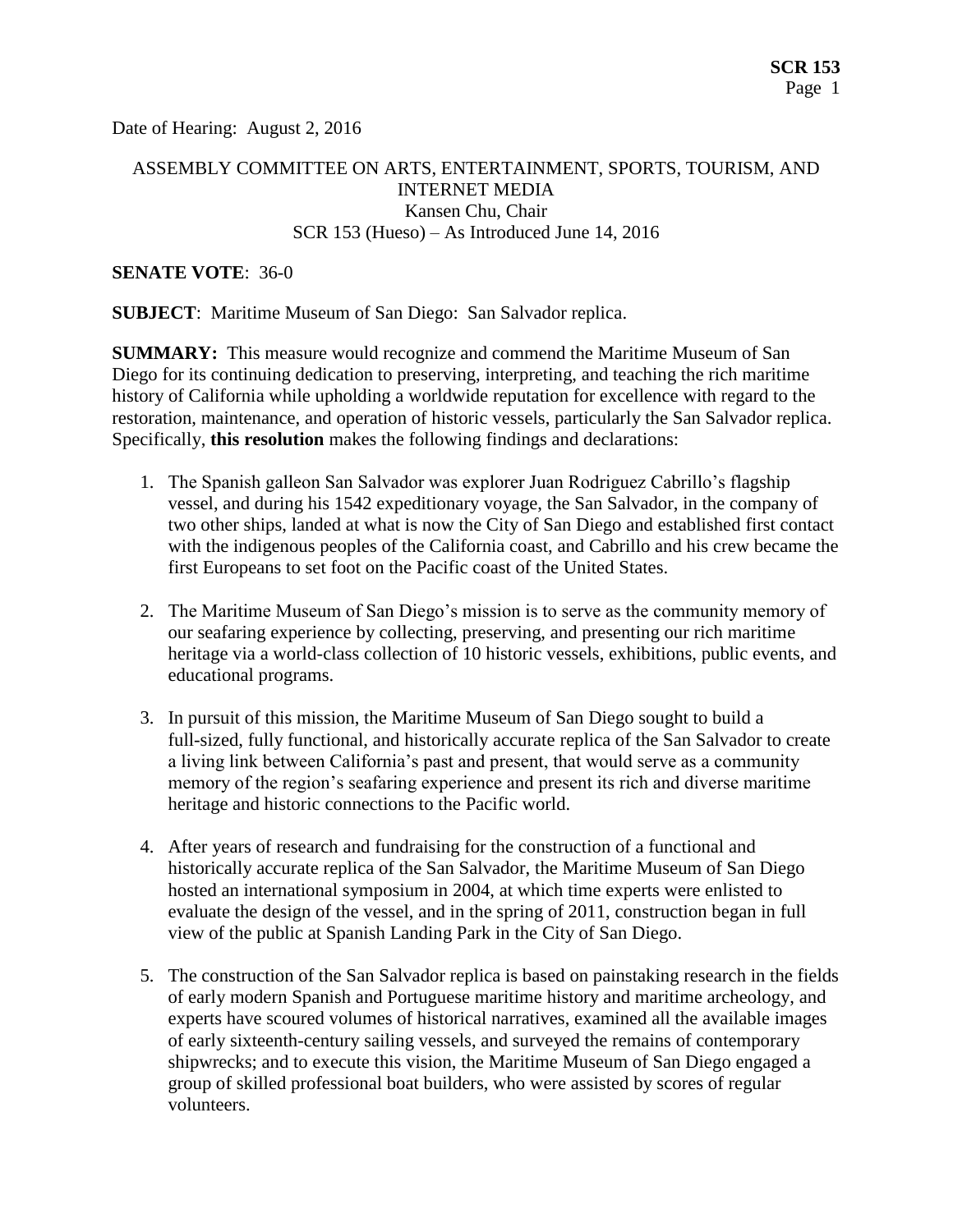Date of Hearing: August 2, 2016

### ASSEMBLY COMMITTEE ON ARTS, ENTERTAINMENT, SPORTS, TOURISM, AND INTERNET MEDIA Kansen Chu, Chair SCR 153 (Hueso) – As Introduced June 14, 2016

#### **SENATE VOTE**: 36-0

**SUBJECT**: Maritime Museum of San Diego: San Salvador replica.

**SUMMARY:** This measure would recognize and commend the Maritime Museum of San Diego for its continuing dedication to preserving, interpreting, and teaching the rich maritime history of California while upholding a worldwide reputation for excellence with regard to the restoration, maintenance, and operation of historic vessels, particularly the San Salvador replica. Specifically, **this resolution** makes the following findings and declarations:

- 1. The Spanish galleon San Salvador was explorer Juan Rodriguez Cabrillo's flagship vessel, and during his 1542 expeditionary voyage, the San Salvador, in the company of two other ships, landed at what is now the City of San Diego and established first contact with the indigenous peoples of the California coast, and Cabrillo and his crew became the first Europeans to set foot on the Pacific coast of the United States.
- 2. The Maritime Museum of San Diego's mission is to serve as the community memory of our seafaring experience by collecting, preserving, and presenting our rich maritime heritage via a world-class collection of 10 historic vessels, exhibitions, public events, and educational programs.
- 3. In pursuit of this mission, the Maritime Museum of San Diego sought to build a full-sized, fully functional, and historically accurate replica of the San Salvador to create a living link between California's past and present, that would serve as a community memory of the region's seafaring experience and present its rich and diverse maritime heritage and historic connections to the Pacific world.
- 4. After years of research and fundraising for the construction of a functional and historically accurate replica of the San Salvador, the Maritime Museum of San Diego hosted an international symposium in 2004, at which time experts were enlisted to evaluate the design of the vessel, and in the spring of 2011, construction began in full view of the public at Spanish Landing Park in the City of San Diego.
- 5. The construction of the San Salvador replica is based on painstaking research in the fields of early modern Spanish and Portuguese maritime history and maritime archeology, and experts have scoured volumes of historical narratives, examined all the available images of early sixteenth-century sailing vessels, and surveyed the remains of contemporary shipwrecks; and to execute this vision, the Maritime Museum of San Diego engaged a group of skilled professional boat builders, who were assisted by scores of regular volunteers.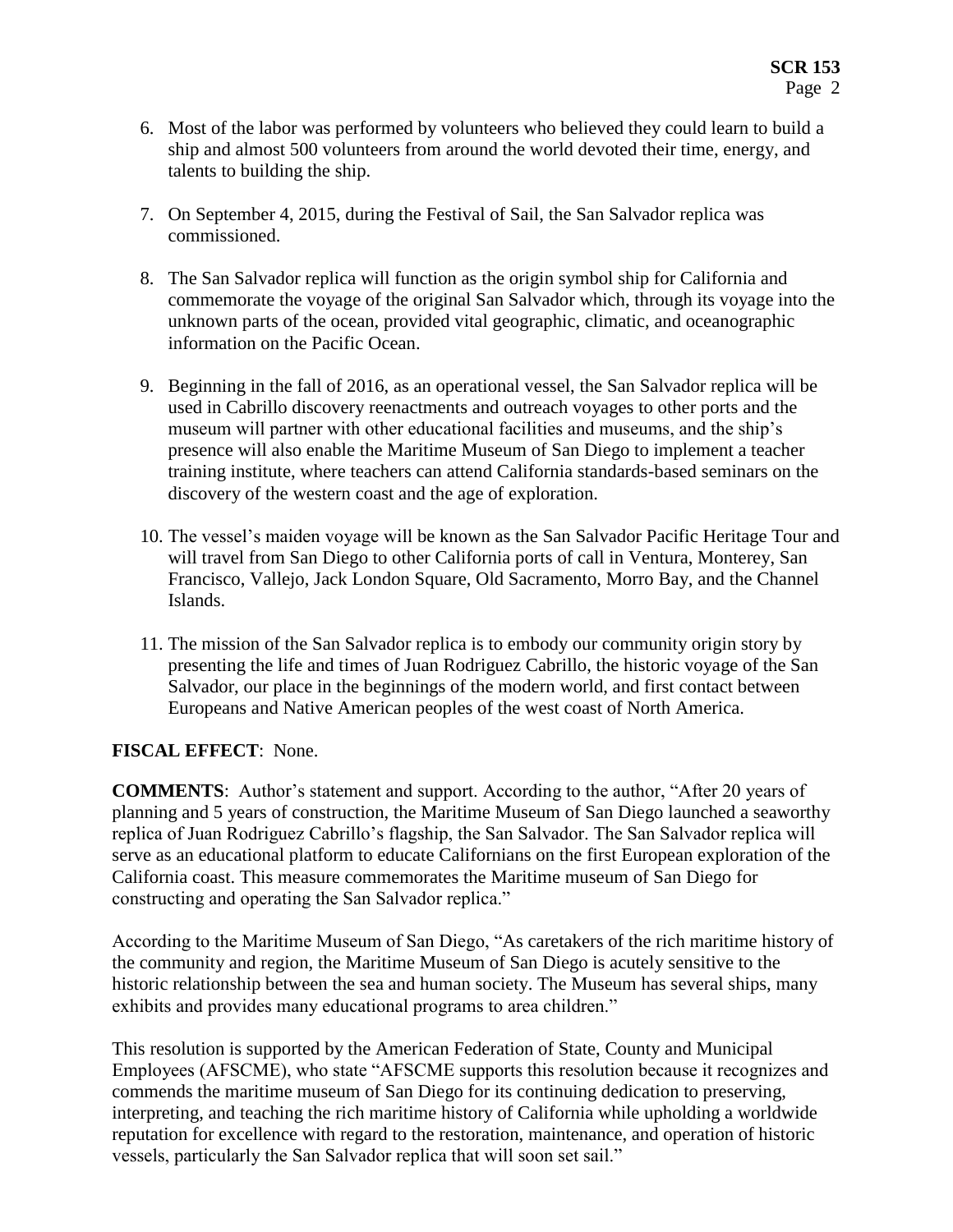- 6. Most of the labor was performed by volunteers who believed they could learn to build a ship and almost 500 volunteers from around the world devoted their time, energy, and talents to building the ship.
- 7. On September 4, 2015, during the Festival of Sail, the San Salvador replica was commissioned.
- 8. The San Salvador replica will function as the origin symbol ship for California and commemorate the voyage of the original San Salvador which, through its voyage into the unknown parts of the ocean, provided vital geographic, climatic, and oceanographic information on the Pacific Ocean.
- 9. Beginning in the fall of 2016, as an operational vessel, the San Salvador replica will be used in Cabrillo discovery reenactments and outreach voyages to other ports and the museum will partner with other educational facilities and museums, and the ship's presence will also enable the Maritime Museum of San Diego to implement a teacher training institute, where teachers can attend California standards-based seminars on the discovery of the western coast and the age of exploration.
- 10. The vessel's maiden voyage will be known as the San Salvador Pacific Heritage Tour and will travel from San Diego to other California ports of call in Ventura, Monterey, San Francisco, Vallejo, Jack London Square, Old Sacramento, Morro Bay, and the Channel Islands.
- 11. The mission of the San Salvador replica is to embody our community origin story by presenting the life and times of Juan Rodriguez Cabrillo, the historic voyage of the San Salvador, our place in the beginnings of the modern world, and first contact between Europeans and Native American peoples of the west coast of North America.

## **FISCAL EFFECT**: None.

**COMMENTS**: Author's statement and support. According to the author, "After 20 years of planning and 5 years of construction, the Maritime Museum of San Diego launched a seaworthy replica of Juan Rodriguez Cabrillo's flagship, the San Salvador. The San Salvador replica will serve as an educational platform to educate Californians on the first European exploration of the California coast. This measure commemorates the Maritime museum of San Diego for constructing and operating the San Salvador replica."

According to the Maritime Museum of San Diego, "As caretakers of the rich maritime history of the community and region, the Maritime Museum of San Diego is acutely sensitive to the historic relationship between the sea and human society. The Museum has several ships, many exhibits and provides many educational programs to area children."

This resolution is supported by the American Federation of State, County and Municipal Employees (AFSCME), who state "AFSCME supports this resolution because it recognizes and commends the maritime museum of San Diego for its continuing dedication to preserving, interpreting, and teaching the rich maritime history of California while upholding a worldwide reputation for excellence with regard to the restoration, maintenance, and operation of historic vessels, particularly the San Salvador replica that will soon set sail."